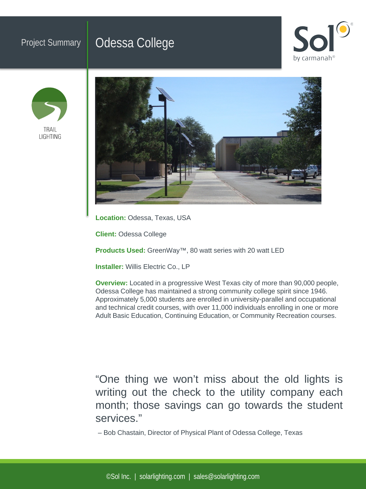## Project Summary | Odessa College







**Location:** Odessa, Texas, USA

**Client:** Odessa College

**Products Used:** GreenWay™, 80 watt series with 20 watt LED

**Installer:** Willis Electric Co., LP

**Overview:** Located in a progressive West Texas city of more than 90,000 people, Odessa College has maintained a strong community college spirit since 1946. Approximately 5,000 students are enrolled in university-parallel and occupational and technical credit courses, with over 11,000 individuals enrolling in one or more Adult Basic Education, Continuing Education, or Community Recreation courses.

"One thing we won't miss about the old lights is writing out the check to the utility company each month; those savings can go towards the student services."

– Bob Chastain, Director of Physical Plant of Odessa College, Texas